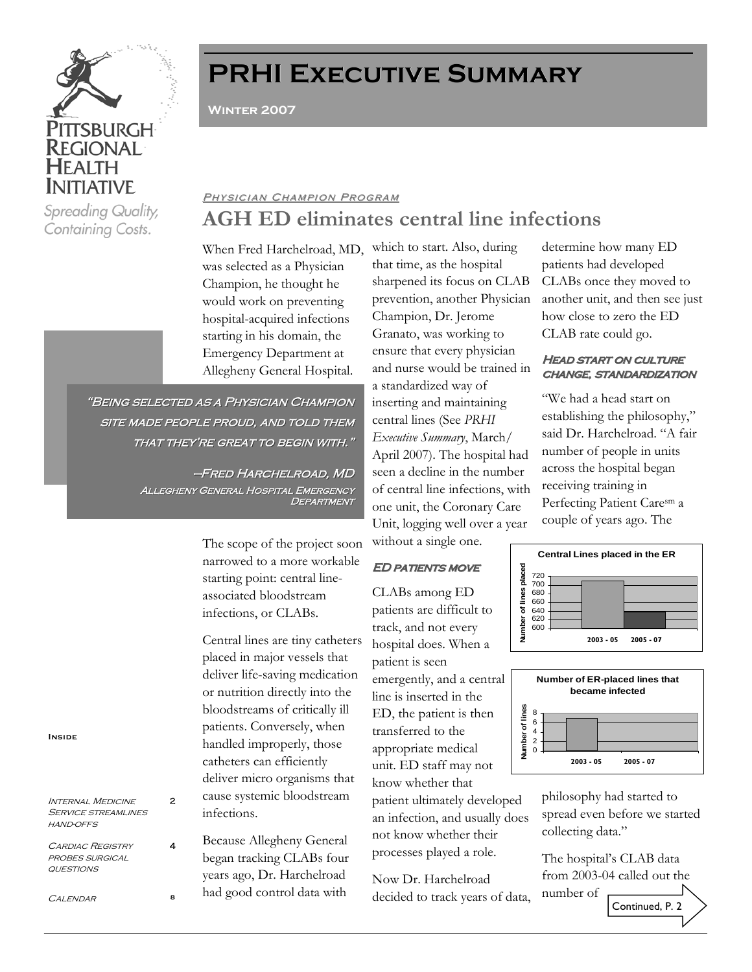

Spreading Quality, Containing Costs.

# **PRHI Executive Summary PRHI Executive Summary**

**Winter 2007** 

# **AGH ED eliminates central line infections** PHYSICIAN CHAMPION PROGRAM

When Fred Harchelroad, MD, which to start. Also, during was selected as a Physician Champion, he thought he would work on preventing hospital-acquired infections starting in his domain, the Emergency Department at Allegheny General Hospital.

"BEING SELECTED AS A PHYSICIAN CHAMPION SITE MADE PEOPLE PROUD, AND TOLD THEM THAT THEY'RE GREAT TO BEGIN WITH."

> —Fred Harchelroad, MD Fred Harchelroad, MD Allegheny General Hospital Emergency Allegheny General Hospital Emergency **DEPARTMENT**

> > The scope of the project soon narrowed to a more workable starting point: central lineassociated bloodstream infections, or CLABs.

Central lines are tiny catheters placed in major vessels that deliver life-saving medication or nutrition directly into the bloodstreams of critically ill patients. Conversely, when handled improperly, those catheters can efficiently deliver micro organisms that cause systemic bloodstream infections.

Because Allegheny General began tracking CLABs four years ago, Dr. Harchelroad had good control data with

that time, as the hospital sharpened its focus on CLAB prevention, another Physician Champion, Dr. Jerome Granato, was working to ensure that every physician and nurse would be trained in a standardized way of inserting and maintaining central lines (See *PRHI Executive Summary*, March/ April 2007). The hospital had seen a decline in the number of central line infections, with one unit, the Coronary Care Unit, logging well over a year without a single one.

## **ED PATIENTS MOVE**

CLABs among ED patients are difficult to track, and not every hospital does. When a patient is seen

emergently, and a central line is inserted in the ED, the patient is then transferred to the appropriate medical unit. ED staff may not know whether that

patient ultimately developed an infection, and usually does not know whether their processes played a role.

Now Dr. Harchelroad decided to track years of data, determine how many ED patients had developed CLABs once they moved to another unit, and then see just how close to zero the ED CLAB rate could go.

## **HEAD START ON CULTURE CHANGE, STANDARDIZATION**

"We had a head start on establishing the philosophy," said Dr. Harchelroad. "A fair number of people in units across the hospital began receiving training in Perfecting Patient Caresm a couple of years ago. The





philosophy had started to spread even before we started collecting data."

The hospital's CLAB data from 2003-04 called out the number of Continued, P. 2

**Inside**

Internal Medicine SERVICE STREAMLINES hand-offs

 $\mathfrak{p}$ 

4

CARDIAC REGISTRY probes surgical questions

CALENDAR 8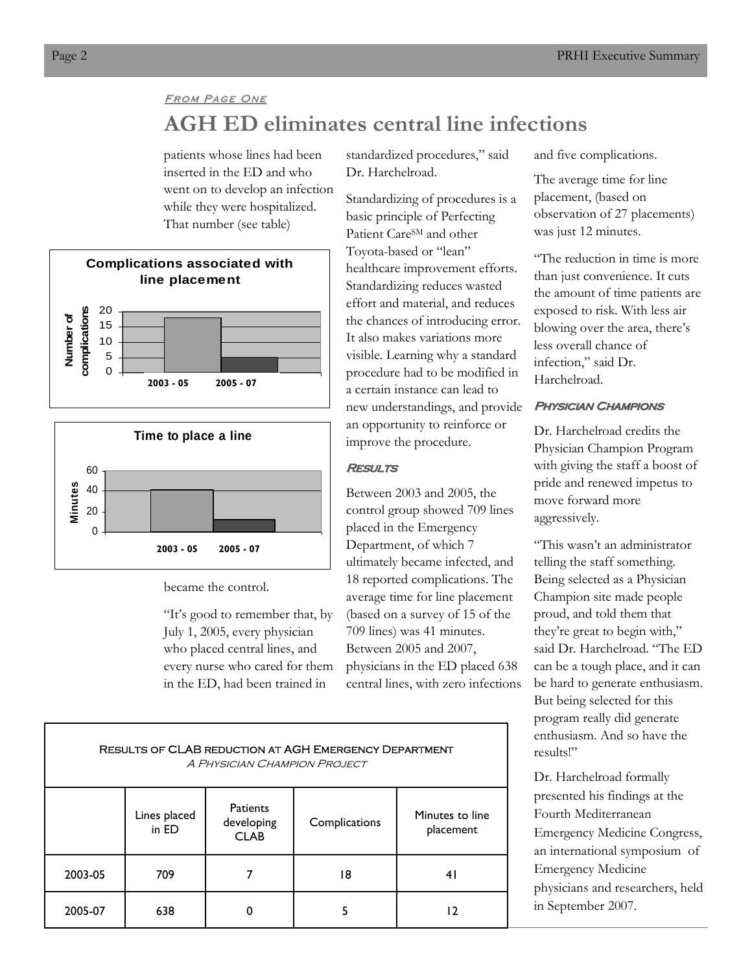## **FROM PAGE ONE**

# **AGH ED eliminates central line infections**

patients whose lines had been inserted in the ED and who went on to develop an infection while they were hospitalized. That number (see table)





became the control.

"It's good to remember that, by July 1, 2005, every physician who placed central lines, and every nurse who cared for them in the ED, had been trained in

standardized procedures," said Dr. Harchelroad.

Standardizing of procedures is a basic principle of Perfecting Patient Care<sup>SM</sup> and other Toyota-based or "lean" healthcare improvement efforts. Standardizing reduces wasted effort and material, and reduces the chances of introducing error. It also makes variations more visible. Learning why a standard procedure had to be modified in a certain instance can lead to new understandings, and provide an opportunity to reinforce or improve the procedure.

## **RESULTS**

Between 2003 and 2005, the control group showed 709 lines placed in the Emergency Department, of which 7 ultimately became infected, and 18 reported complications. The average time for line placement (based on a survey of 15 of the 709 lines) was 41 minutes. Between 2005 and 2007, physicians in the ED placed 638 central lines, with zero infections and five complications.

The average time for line placement, (based on observation of 27 placements) was just 12 minutes.

"The reduction in time is more than just convenience. It cuts the amount of time patients are exposed to risk. With less air blowing over the area, there's less overall chance of infection," said Dr. Harchelroad.

## **PHYSICIAN CHAMPIONS**

Dr. Harchelroad credits the Physician Champion Program with giving the staff a boost of pride and renewed impetus to move forward more aggressively.

"This wasn't an administrator telling the staff something. Being selected as a Physician Champion site made people proud, and told them that they're great to begin with," said Dr. Harchelroad. "The ED can be a tough place, and it can be hard to generate enthusiasm. But being selected for this program really did generate enthusiasm. And so have the results!"

Dr. Harchelroad formally presented his findings at the Fourth Mediterranean Emergency Medicine Congress, an international symposium of Emergency Medicine physicians and researchers, held in September 2007.

| RESULIS OF CLAD REDUCTION AT AGH EMERGENCT DEPARTMENT<br>A PHYSICIAN CHAMPION PROJECT |                       |                                              |               |                              |  |  |  |  |  |
|---------------------------------------------------------------------------------------|-----------------------|----------------------------------------------|---------------|------------------------------|--|--|--|--|--|
|                                                                                       | Lines placed<br>in ED | <b>Patients</b><br>developing<br><b>CLAB</b> | Complications | Minutes to line<br>placement |  |  |  |  |  |
| 2003-05                                                                               | 709                   |                                              | 18            | 4 I                          |  |  |  |  |  |
| 2005-07                                                                               | 638                   |                                              |               |                              |  |  |  |  |  |

CLAB penuction at AGH EMERGENC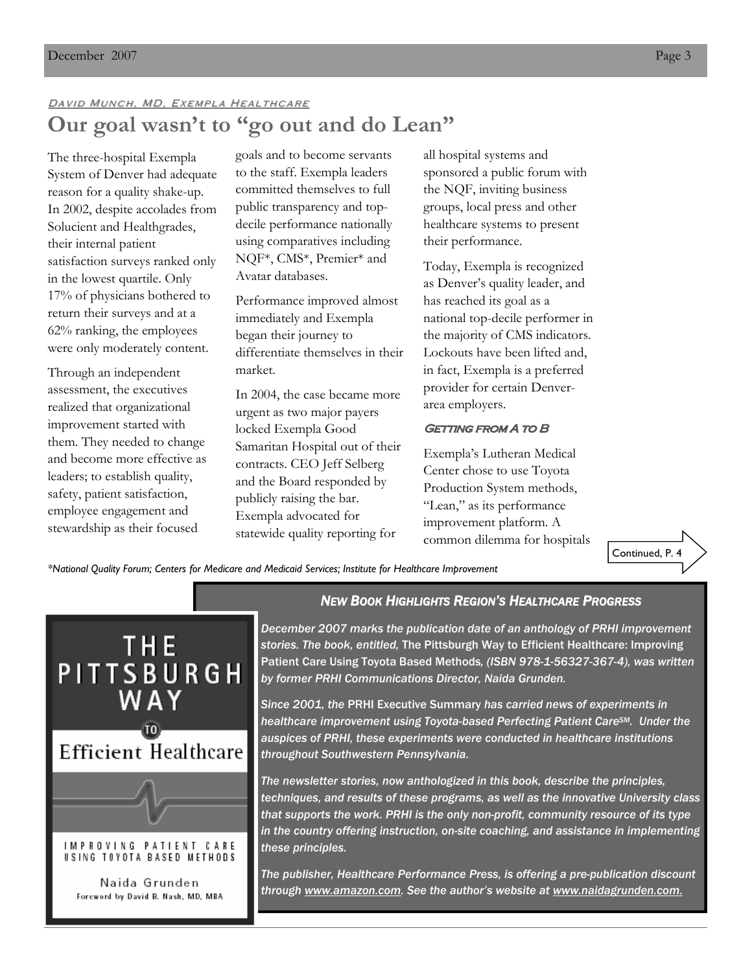# DAVID MUNCH, MD, EXEMPLA HEALTHCARE **Our goal wasn't to "go out and do Lean"**

The three-hospital Exempla System of Denver had adequate reason for a quality shake-up. In 2002, despite accolades from Solucient and Healthgrades, their internal patient satisfaction surveys ranked only in the lowest quartile. Only 17% of physicians bothered to return their surveys and at a 62% ranking, the employees were only moderately content.

Through an independent assessment, the executives realized that organizational improvement started with them. They needed to change and become more effective as leaders; to establish quality, safety, patient satisfaction, employee engagement and stewardship as their focused

goals and to become servants to the staff. Exempla leaders committed themselves to full public transparency and topdecile performance nationally using comparatives including NQF\*, CMS\*, Premier\* and Avatar databases.

Performance improved almost immediately and Exempla began their journey to differentiate themselves in their market.

In 2004, the case became more urgent as two major payers locked Exempla Good Samaritan Hospital out of their contracts. CEO Jeff Selberg and the Board responded by publicly raising the bar. Exempla advocated for statewide quality reporting for

all hospital systems and sponsored a public forum with the NQF, inviting business groups, local press and other healthcare systems to present their performance.

Today, Exempla is recognized as Denver's quality leader, and has reached its goal as a national top-decile performer in the majority of CMS indicators. Lockouts have been lifted and, in fact, Exempla is a preferred provider for certain Denverarea employers.

## **GETTING FROM A TO B**

Exempla's Lutheran Medical Center chose to use Toyota Production System methods, "Lean," as its performance improvement platform. A common dilemma for hospitals

Continued, P. 4

*\*National Quality Forum; Centers for Medicare and Medicaid Services; Institute for Healthcare Improvement* 



## *NEW BOOK HIGHLIGHTS REGION'S HEALTHCARE PROGRESS*

*December 2007 marks the publication date of an anthology of PRHI improvement stories. The book, entitled,* The Pittsburgh Way to Efficient Healthcare: Improving Patient Care Using Toyota Based Methods*, (ISBN 978-1-56327-367-4), was written by former PRHI Communications Director, Naida Grunden.* 

*Since 2001, the* PRHI Executive Summary *has carried news of experiments in healthcare improvement using Toyota-based Perfecting Patient CareSM. Under the auspices of PRHI, these experiments were conducted in healthcare institutions throughout Southwestern Pennsylvania.* 

*The newsletter stories, now anthologized in this book, describe the principles, techniques, and results of these programs, as well as the innovative University class that supports the work. PRHI is the only non-profit, community resource of its type in the country offering instruction, on-site coaching, and assistance in implementing these principles.* 

*The publisher, Healthcare Performance Press, is offering a pre-publication discount through www.amazon.com. See the author's website at www.naidagrunden.com.*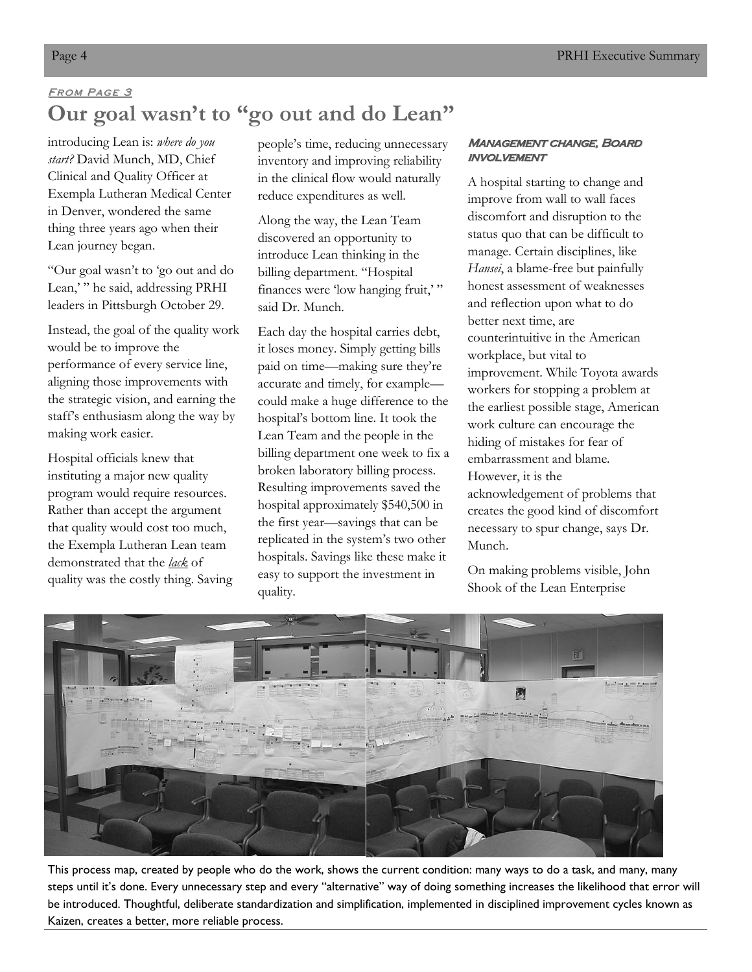# FROM PAGE 3 **Our goal wasn't to "go out and do Lean"**

introducing Lean is: *where do you start?* David Munch, MD, Chief Clinical and Quality Officer at Exempla Lutheran Medical Center in Denver, wondered the same thing three years ago when their Lean journey began.

"Our goal wasn't to 'go out and do Lean," he said, addressing PRHI leaders in Pittsburgh October 29.

Instead, the goal of the quality work would be to improve the performance of every service line, aligning those improvements with the strategic vision, and earning the staff's enthusiasm along the way by making work easier.

Hospital officials knew that instituting a major new quality program would require resources. Rather than accept the argument that quality would cost too much, the Exempla Lutheran Lean team demonstrated that the *lack* of quality was the costly thing. Saving

people's time, reducing unnecessary inventory and improving reliability in the clinical flow would naturally reduce expenditures as well.

Along the way, the Lean Team discovered an opportunity to introduce Lean thinking in the billing department. "Hospital finances were 'low hanging fruit,'" said Dr. Munch.

Each day the hospital carries debt, it loses money. Simply getting bills paid on time—making sure they're accurate and timely, for example could make a huge difference to the hospital's bottom line. It took the Lean Team and the people in the billing department one week to fix a broken laboratory billing process. Resulting improvements saved the hospital approximately \$540,500 in the first year—savings that can be replicated in the system's two other hospitals. Savings like these make it easy to support the investment in quality.

## MANAGEMENT CHANGE, BOARD **INVOLVEMENT**

A hospital starting to change and improve from wall to wall faces discomfort and disruption to the status quo that can be difficult to manage. Certain disciplines, like *Hansei*, a blame-free but painfully honest assessment of weaknesses and reflection upon what to do better next time, are counterintuitive in the American workplace, but vital to improvement. While Toyota awards workers for stopping a problem at the earliest possible stage, American work culture can encourage the hiding of mistakes for fear of embarrassment and blame. However, it is the acknowledgement of problems that creates the good kind of discomfort necessary to spur change, says Dr. Munch.

On making problems visible, John Shook of the Lean Enterprise



This process map, created by people who do the work, shows the current condition: many ways to do a task, and many, many steps until it's done. Every unnecessary step and every "alternative" way of doing something increases the likelihood that error will be introduced. Thoughtful, deliberate standardization and simplification, implemented in disciplined improvement cycles known as Kaizen, creates a better, more reliable process.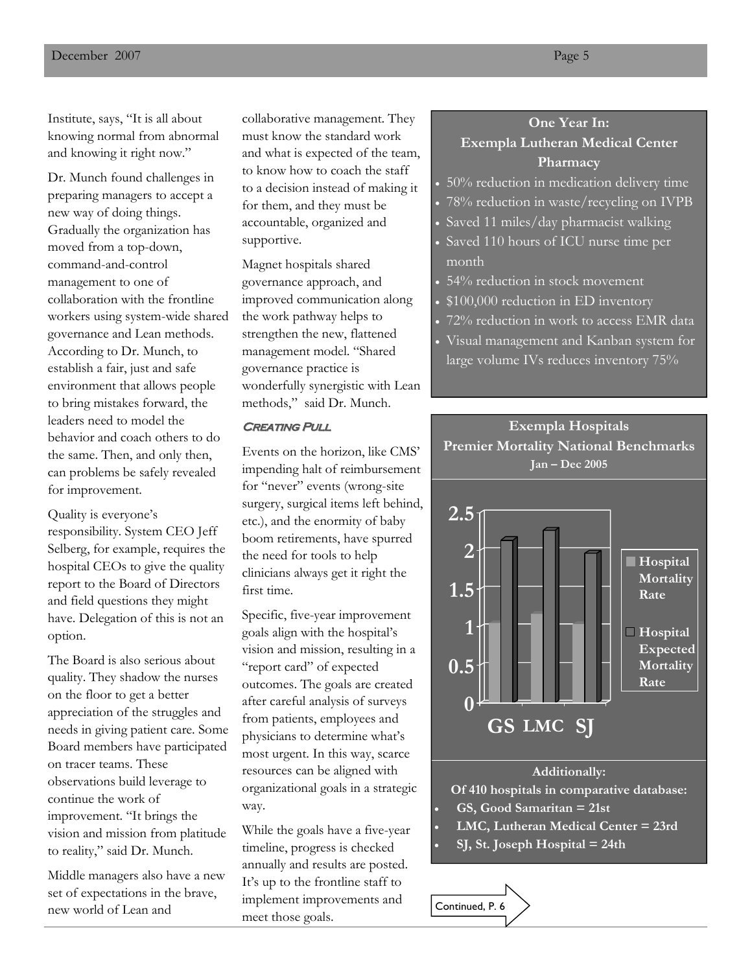Institute, says, "It is all about knowing normal from abnormal and knowing it right now."

Dr. Munch found challenges in preparing managers to accept a new way of doing things. Gradually the organization has moved from a top-down, command-and-control management to one of collaboration with the frontline workers using system-wide shared governance and Lean methods. According to Dr. Munch, to establish a fair, just and safe environment that allows people to bring mistakes forward, the leaders need to model the behavior and coach others to do the same. Then, and only then, can problems be safely revealed for improvement.

Quality is everyone's responsibility. System CEO Jeff Selberg, for example, requires the hospital CEOs to give the quality report to the Board of Directors and field questions they might have. Delegation of this is not an option.

The Board is also serious about quality. They shadow the nurses on the floor to get a better appreciation of the struggles and needs in giving patient care. Some Board members have participated on tracer teams. These observations build leverage to continue the work of improvement. "It brings the vision and mission from platitude to reality," said Dr. Munch.

Middle managers also have a new set of expectations in the brave, new world of Lean and

collaborative management. They must know the standard work and what is expected of the team, to know how to coach the staff to a decision instead of making it for them, and they must be accountable, organized and supportive.

Magnet hospitals shared governance approach, and improved communication along the work pathway helps to strengthen the new, flattened management model. "Shared governance practice is wonderfully synergistic with Lean methods," said Dr. Munch.

## **CREATING PULL**

Events on the horizon, like CMS' impending halt of reimbursement for "never" events (wrong-site surgery, surgical items left behind, etc.), and the enormity of baby boom retirements, have spurred the need for tools to help clinicians always get it right the first time.

Specific, five-year improvement goals align with the hospital's vision and mission, resulting in a "report card" of expected outcomes. The goals are created after careful analysis of surveys from patients, employees and physicians to determine what's most urgent. In this way, scarce resources can be aligned with organizational goals in a strategic way.

While the goals have a five-year timeline, progress is checked annually and results are posted. It's up to the frontline staff to implement improvements and meet those goals.

Continued, P. 6

## **One Year In: Exempla Lutheran Medical Center Pharmacy**

- 50% reduction in medication delivery time
- 78% reduction in waste/recycling on IVPB
- Saved 11 miles/day pharmacist walking
- Saved 110 hours of ICU nurse time per month
- 54% reduction in stock movement
- \$100,000 reduction in ED inventory
- 72% reduction in work to access EMR data
- Visual management and Kanban system for large volume IVs reduces inventory 75%

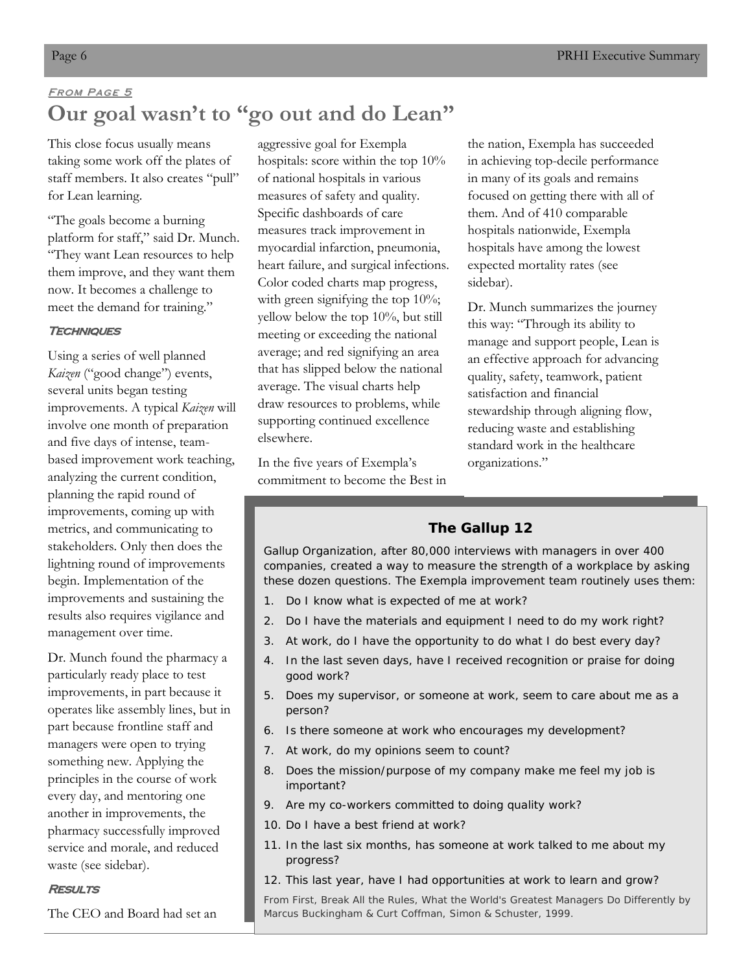# FROM PAGE 5 **Our goal wasn't to "go out and do Lean"**

This close focus usually means taking some work off the plates of staff members. It also creates "pull" for Lean learning.

"The goals become a burning platform for staff," said Dr. Munch. "They want Lean resources to help them improve, and they want them now. It becomes a challenge to meet the demand for training."

## **TECHNIQUES**

Using a series of well planned *Kaizen* ("good change") events, several units began testing improvements. A typical *Kaizen* will involve one month of preparation and five days of intense, teambased improvement work teaching, analyzing the current condition, planning the rapid round of improvements, coming up with metrics, and communicating to stakeholders. Only then does the lightning round of improvements begin. Implementation of the improvements and sustaining the results also requires vigilance and management over time.

Dr. Munch found the pharmacy a particularly ready place to test improvements, in part because it operates like assembly lines, but in part because frontline staff and managers were open to trying something new. Applying the principles in the course of work every day, and mentoring one another in improvements, the pharmacy successfully improved service and morale, and reduced waste (see sidebar).

## **RESULTS**

The CEO and Board had set an

aggressive goal for Exempla hospitals: score within the top 10% of national hospitals in various measures of safety and quality. Specific dashboards of care measures track improvement in myocardial infarction, pneumonia, heart failure, and surgical infections. Color coded charts map progress, with green signifying the top 10%; yellow below the top 10%, but still meeting or exceeding the national average; and red signifying an area that has slipped below the national average. The visual charts help draw resources to problems, while supporting continued excellence elsewhere.

In the five years of Exempla's commitment to become the Best in

the nation, Exempla has succeeded in achieving top-decile performance in many of its goals and remains focused on getting there with all of them. And of 410 comparable hospitals nationwide, Exempla hospitals have among the lowest expected mortality rates (see sidebar).

Dr. Munch summarizes the journey this way: "Through its ability to manage and support people, Lean is an effective approach for advancing quality, safety, teamwork, patient satisfaction and financial stewardship through aligning flow, reducing waste and establishing standard work in the healthcare organizations."

## **The Gallup 12**

Gallup Organization, after 80,000 interviews with managers in over 400 companies, created a way to measure the strength of a workplace by asking these dozen questions. The Exempla improvement team routinely uses them:

- 1. Do I know what is expected of me at work?
- 2. Do I have the materials and equipment I need to do my work right?
- 3. At work, do I have the opportunity to do what I do best every day?
- 4. In the last seven days, have I received recognition or praise for doing good work?
- 5. Does my supervisor, or someone at work, seem to care about me as a person?
- 6. Is there someone at work who encourages my development?
- 7. At work, do my opinions seem to count?
- 8. Does the mission/purpose of my company make me feel my job is important?
- 9. Are my co-workers committed to doing quality work?
- 10. Do I have a best friend at work?
- 11. In the last six months, has someone at work talked to me about my progress?
- 12. This last year, have I had opportunities at work to learn and grow?

From *First, Break All the Rules, What the World's Greatest Managers Do Differently* by Marcus Buckingham & Curt Coffman, Simon & Schuster, 1999.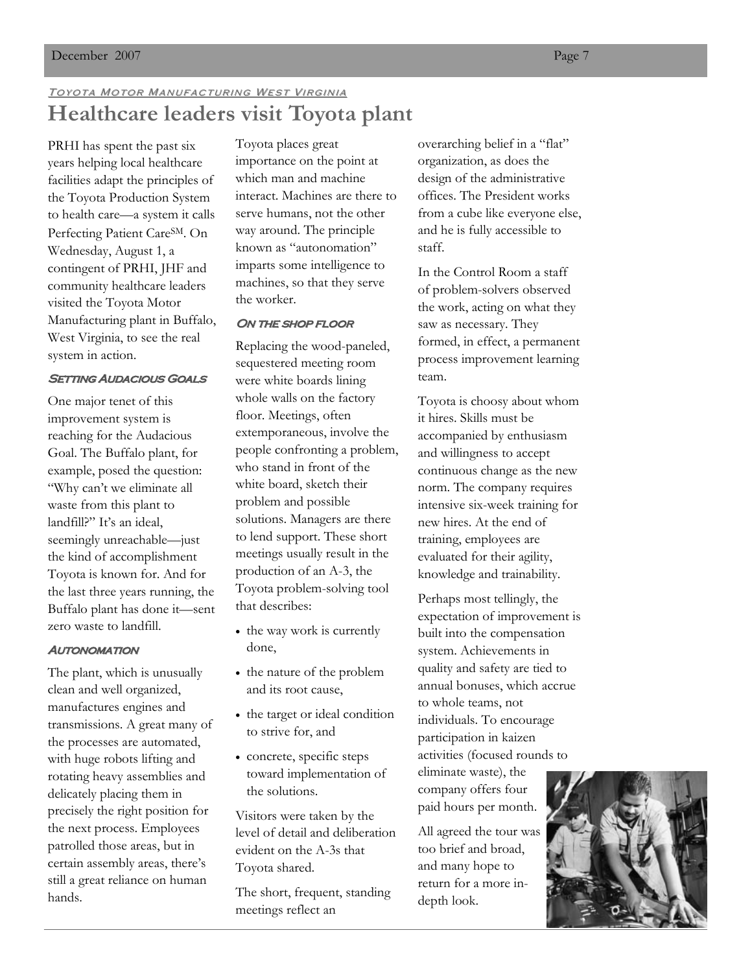# TOYOTA MOTOR MANUFACTURING WEST VIRGINIA **Healthcare leaders visit Toyota plant**

PRHI has spent the past six years helping local healthcare facilities adapt the principles of the Toyota Production System to health care—a system it calls Perfecting Patient CareSM. On Wednesday, August 1, a contingent of PRHI, JHF and community healthcare leaders visited the Toyota Motor Manufacturing plant in Buffalo, West Virginia, to see the real system in action.

### **SETTING AUDACIOUS GOALS**

One major tenet of this improvement system is reaching for the Audacious Goal. The Buffalo plant, for example, posed the question: "Why can't we eliminate all waste from this plant to landfill?" It's an ideal, seemingly unreachable—just the kind of accomplishment Toyota is known for. And for the last three years running, the Buffalo plant has done it—sent zero waste to landfill.

## **AUTONOMATION**

The plant, which is unusually clean and well organized, manufactures engines and transmissions. A great many of the processes are automated, with huge robots lifting and rotating heavy assemblies and delicately placing them in precisely the right position for the next process. Employees patrolled those areas, but in certain assembly areas, there's still a great reliance on human hands.

Toyota places great importance on the point at which man and machine interact. Machines are there to serve humans, not the other way around. The principle known as "autonomation" imparts some intelligence to machines, so that they serve the worker.

## ON THE SHOP FLOOR

Replacing the wood-paneled, sequestered meeting room were white boards lining whole walls on the factory floor. Meetings, often extemporaneous, involve the people confronting a problem, who stand in front of the white board, sketch their problem and possible solutions. Managers are there to lend support. These short meetings usually result in the production of an A-3, the Toyota problem-solving tool that describes:

- the way work is currently done,
- the nature of the problem and its root cause,
- the target or ideal condition to strive for, and
- concrete, specific steps toward implementation of the solutions.

Visitors were taken by the level of detail and deliberation evident on the A-3s that Toyota shared.

The short, frequent, standing meetings reflect an

overarching belief in a "flat" organization, as does the design of the administrative offices. The President works from a cube like everyone else, and he is fully accessible to staff.

In the Control Room a staff of problem-solvers observed the work, acting on what they saw as necessary. They formed, in effect, a permanent process improvement learning team.

Toyota is choosy about whom it hires. Skills must be accompanied by enthusiasm and willingness to accept continuous change as the new norm. The company requires intensive six-week training for new hires. At the end of training, employees are evaluated for their agility, knowledge and trainability.

Perhaps most tellingly, the expectation of improvement is built into the compensation system. Achievements in quality and safety are tied to annual bonuses, which accrue to whole teams, not individuals. To encourage participation in kaizen activities (focused rounds to

eliminate waste), the company offers four paid hours per month.

All agreed the tour was too brief and broad, and many hope to return for a more indepth look.